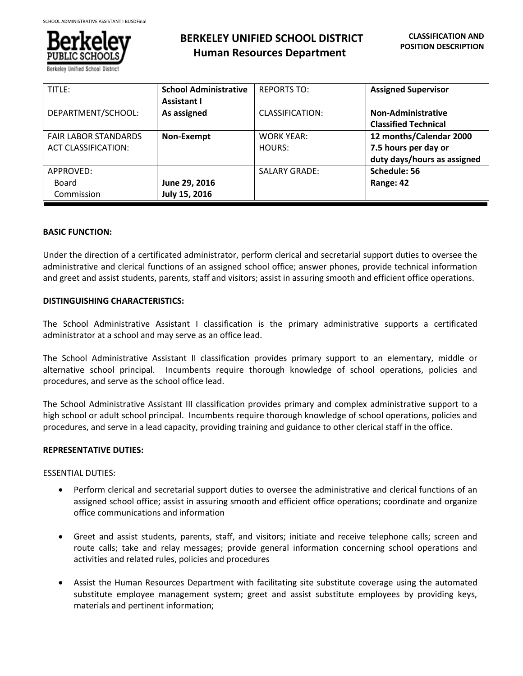

# **BERKELEY UNIFIED SCHOOL DISTRICT Human Resources Department**

| TITLE:                                                    | <b>School Administrative</b><br><b>Assistant I</b> | <b>REPORTS TO:</b>          | <b>Assigned Supervisor</b>                                                     |
|-----------------------------------------------------------|----------------------------------------------------|-----------------------------|--------------------------------------------------------------------------------|
| DEPARTMENT/SCHOOL:                                        | As assigned                                        | CLASSIFICATION:             | <b>Non-Administrative</b><br><b>Classified Technical</b>                       |
| <b>FAIR LABOR STANDARDS</b><br><b>ACT CLASSIFICATION:</b> | Non-Exempt                                         | <b>WORK YEAR:</b><br>HOURS: | 12 months/Calendar 2000<br>7.5 hours per day or<br>duty days/hours as assigned |
| APPROVED:<br>Board<br>Commission                          | June 29, 2016<br>July 15, 2016                     | <b>SALARY GRADE:</b>        | Schedule: 56<br>Range: 42                                                      |

# **BASIC FUNCTION:**

Ī

Under the direction of a certificated administrator, perform clerical and secretarial support duties to oversee the administrative and clerical functions of an assigned school office; answer phones, provide technical information and greet and assist students, parents, staff and visitors; assist in assuring smooth and efficient office operations.

# **DISTINGUISHING CHARACTERISTICS:**

The School Administrative Assistant I classification is the primary administrative supports a certificated administrator at a school and may serve as an office lead.

The School Administrative Assistant II classification provides primary support to an elementary, middle or alternative school principal. Incumbents require thorough knowledge of school operations, policies and procedures, and serve as the school office lead.

The School Administrative Assistant III classification provides primary and complex administrative support to a high school or adult school principal. Incumbents require thorough knowledge of school operations, policies and procedures, and serve in a lead capacity, providing training and guidance to other clerical staff in the office.

#### **REPRESENTATIVE DUTIES:**

ESSENTIAL DUTIES:

- Perform clerical and secretarial support duties to oversee the administrative and clerical functions of an assigned school office; assist in assuring smooth and efficient office operations; coordinate and organize office communications and information
- Greet and assist students, parents, staff, and visitors; initiate and receive telephone calls; screen and route calls; take and relay messages; provide general information concerning school operations and activities and related rules, policies and procedures
- Assist the Human Resources Department with facilitating site substitute coverage using the automated substitute employee management system; greet and assist substitute employees by providing keys, materials and pertinent information;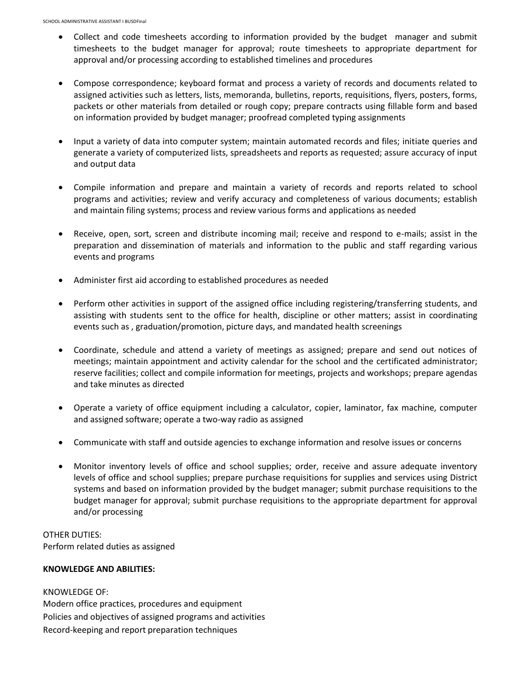- Collect and code timesheets according to information provided by the budget manager and submit timesheets to the budget manager for approval; route timesheets to appropriate department for approval and/or processing according to established timelines and procedures
- Compose correspondence; keyboard format and process a variety of records and documents related to assigned activities such as letters, lists, memoranda, bulletins, reports, requisitions, flyers, posters, forms, packets or other materials from detailed or rough copy; prepare contracts using fillable form and based on information provided by budget manager; proofread completed typing assignments
- Input a variety of data into computer system; maintain automated records and files; initiate queries and generate a variety of computerized lists, spreadsheets and reports as requested; assure accuracy of input and output data
- Compile information and prepare and maintain a variety of records and reports related to school programs and activities; review and verify accuracy and completeness of various documents; establish and maintain filing systems; process and review various forms and applications as needed
- Receive, open, sort, screen and distribute incoming mail; receive and respond to e-mails; assist in the preparation and dissemination of materials and information to the public and staff regarding various events and programs
- Administer first aid according to established procedures as needed
- Perform other activities in support of the assigned office including registering/transferring students, and assisting with students sent to the office for health, discipline or other matters; assist in coordinating events such as , graduation/promotion, picture days, and mandated health screenings
- Coordinate, schedule and attend a variety of meetings as assigned; prepare and send out notices of meetings; maintain appointment and activity calendar for the school and the certificated administrator; reserve facilities; collect and compile information for meetings, projects and workshops; prepare agendas and take minutes as directed
- Operate a variety of office equipment including a calculator, copier, laminator, fax machine, computer and assigned software; operate a two-way radio as assigned
- Communicate with staff and outside agencies to exchange information and resolve issues or concerns
- Monitor inventory levels of office and school supplies; order, receive and assure adequate inventory levels of office and school supplies; prepare purchase requisitions for supplies and services using District systems and based on information provided by the budget manager; submit purchase requisitions to the budget manager for approval; submit purchase requisitions to the appropriate department for approval and/or processing

OTHER DUTIES: Perform related duties as assigned

### **KNOWLEDGE AND ABILITIES:**

KNOWLEDGE OF: Modern office practices, procedures and equipment Policies and objectives of assigned programs and activities Record-keeping and report preparation techniques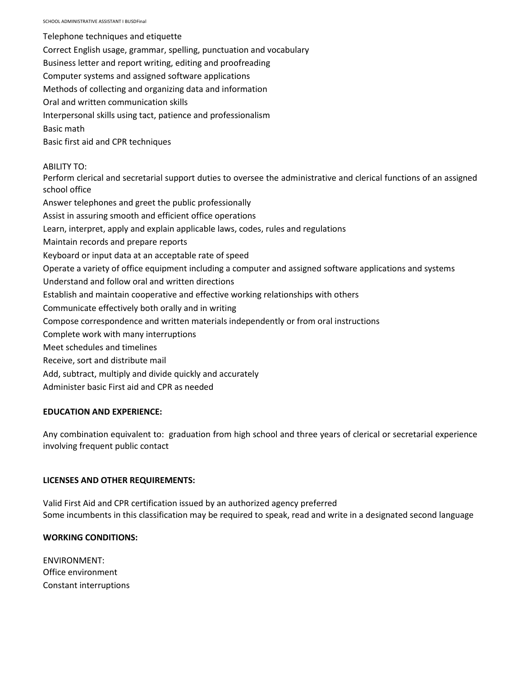SCHOOL ADMINISTRATIVE ASSISTANT I BUSDFinal

Telephone techniques and etiquette Correct English usage, grammar, spelling, punctuation and vocabulary Business letter and report writing, editing and proofreading Computer systems and assigned software applications Methods of collecting and organizing data and information Oral and written communication skills Interpersonal skills using tact, patience and professionalism Basic math Basic first aid and CPR techniques ABILITY TO: Perform clerical and secretarial support duties to oversee the administrative and clerical functions of an assigned school office Answer telephones and greet the public professionally Assist in assuring smooth and efficient office operations Learn, interpret, apply and explain applicable laws, codes, rules and regulations Maintain records and prepare reports Keyboard or input data at an acceptable rate of speed Operate a variety of office equipment including a computer and assigned software applications and systems Understand and follow oral and written directions Establish and maintain cooperative and effective working relationships with others Communicate effectively both orally and in writing Compose correspondence and written materials independently or from oral instructions Complete work with many interruptions Meet schedules and timelines

- Receive, sort and distribute mail
- Add, subtract, multiply and divide quickly and accurately
- Administer basic First aid and CPR as needed

#### **EDUCATION AND EXPERIENCE:**

Any combination equivalent to: graduation from high school and three years of clerical or secretarial experience involving frequent public contact

#### **LICENSES AND OTHER REQUIREMENTS:**

Valid First Aid and CPR certification issued by an authorized agency preferred Some incumbents in this classification may be required to speak, read and write in a designated second language

# **WORKING CONDITIONS:**

ENVIRONMENT: Office environment Constant interruptions